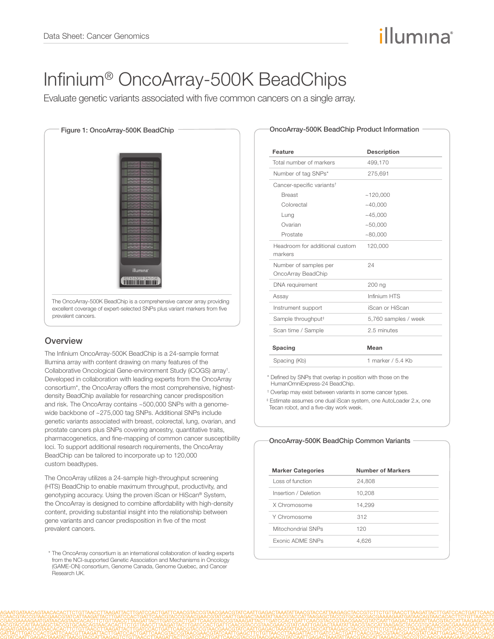# illumına

## Infinium® OncoArray-500K BeadChips

Evaluate genetic variants associated with five common cancers on a single array.



### **Overview**

The Infinium OncoArray-500K BeadChip is a 24-sample format Illumina array with content drawing on many features of the Collaborative Oncological Gene-environment Study (iCOGS) array<sup>1</sup>. Developed in collaboration with leading experts from the OncoArray consortium\*, the OncoArray offers the most comprehensive, highestdensity BeadChip available for researching cancer predisposition and risk. The OncoArray contains ~500,000 SNPs with a genomewide backbone of ~275,000 tag SNPs. Additional SNPs include genetic variants associated with breast, colorectal, lung, ovarian, and prostate cancers plus SNPs covering ancestry, quantitative traits, pharmacogenetics, and fine-mapping of common cancer susceptibility loci. To support additional research requirements, the OncoArray BeadChip can be tailored to incorporate up to 120,000 custom beadtypes.

The OncoArray utilizes a 24-sample high-throughput screening (HTS) BeadChip to enable maximum throughput, productivity, and genotyping accuracy. Using the proven iScan or HiScan® System, the OncoArray is designed to combine affordability with high-density content, providing substantial insight into the relationship between gene variants and cancer predisposition in five of the most prevalent cancers.

| -OncoArray-500K BeadChip Product Information |  |  |
|----------------------------------------------|--|--|
|----------------------------------------------|--|--|

| Feature                                     | <b>Description</b>   |
|---------------------------------------------|----------------------|
| Total number of markers                     | 499,170              |
| Number of tag SNPs*                         | 275,691              |
| Cancer-specific variants <sup>+</sup>       |                      |
| <b>Breast</b>                               | ~120,000             |
| Colorectal                                  | ~140,000             |
| Lung                                        | ~145.000             |
| Ovarian                                     | ~100,000             |
| Prostate                                    | ~80.000              |
| Headroom for additional custom<br>markers   | 120,000              |
| Number of samples per<br>OncoArray BeadChip | 24                   |
| DNA requirement                             | 200 ng               |
| Assay                                       | Infinium HTS         |
| Instrument support                          | iScan or HiScan      |
| Sample throughput <sup>#</sup>              | 5,760 samples / week |
| Scan time / Sample                          | 2.5 minutes          |
| Spacing                                     | Mean                 |
| Spacing (Kb)                                | 1 marker / 5.4 Kb    |

HumanOmniExpress-24 BeadChip.

† Overlap may exist between variants in some cancer types.

 ‡ Estimate assumes one dual iScan system, one AutoLoader 2.x, one Tecan robot, and a five-day work week.

#### OncoArray-500K BeadChip Common Variants

| <b>Marker Categories</b> | Number of Markers |
|--------------------------|-------------------|
| Loss of function         | 24,808            |
| Insertion / Deletion     | 10,208            |
| X Chromosome             | 14,299            |
| Y Chromosome             | 312               |
| Mitochondrial SNPs       | 120               |
| <b>Exonic ADME SNPs</b>  | 4.626             |

<sup>\*</sup> The OncoArray consortium is an international collaboration of leading experts from the NCI-supported [Genetic Association and Mechanisms in Oncology](http://epi.grants.cancer.gov/gameon/)  [\(GAME-ON\) consortium](http://epi.grants.cancer.gov/gameon/), [Genome Canada,](http://www.genomecanada.ca/) [Genome Quebec](http://www.genomequebec.com/), and [Cancer](http://www.cancerresearchuk.org/science/news/five-year-strategy)  [Research UK.](http://www.cancerresearchuk.org/science/news/five-year-strategy)